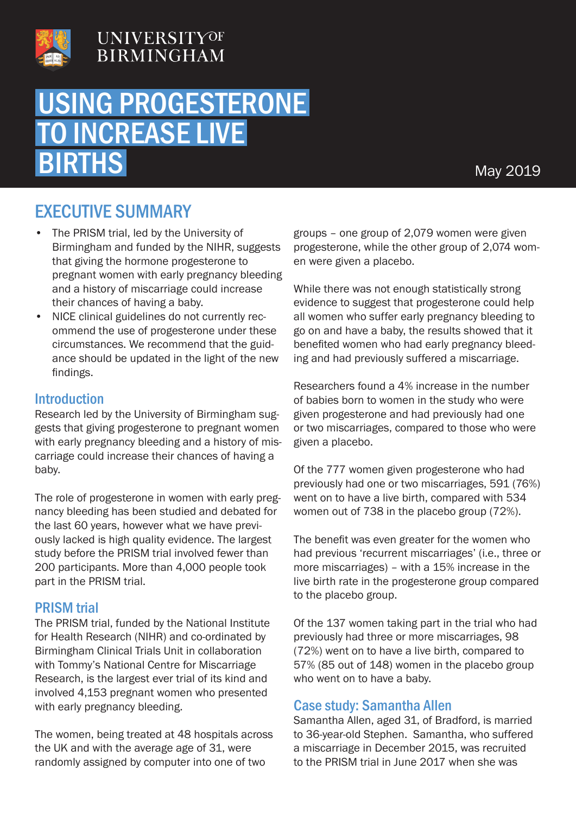

### **UNIVERSITYOF BIRMINGHAM**

# USING PROGESTERONE TO INCREASE LIVE BIRTHS

## EXECUTIVE SUMMARY

- The PRISM trial, led by the University of Birmingham and funded by the NIHR, suggests that giving the hormone progesterone to pregnant women with early pregnancy bleeding and a history of miscarriage could increase their chances of having a baby.
- NICE clinical guidelines do not currently recommend the use of progesterone under these circumstances. We recommend that the guidance should be updated in the light of the new findings.

### **Introduction**

Research led by the University of Birmingham suggests that giving progesterone to pregnant women with early pregnancy bleeding and a history of miscarriage could increase their chances of having a baby.

The role of progesterone in women with early pregnancy bleeding has been studied and debated for the last 60 years, however what we have previously lacked is high quality evidence. The largest study before the PRISM trial involved fewer than 200 participants. More than 4,000 people took part in the PRISM trial.

#### PRISM trial

The PRISM trial, funded by the National Institute for Health Research (NIHR) and co-ordinated by Birmingham Clinical Trials Unit in collaboration with Tommy's National Centre for Miscarriage Research, is the largest ever trial of its kind and involved 4,153 pregnant women who presented with early pregnancy bleeding.

The women, being treated at 48 hospitals across the UK and with the average age of 31, were randomly assigned by computer into one of two

groups – one group of 2,079 women were given progesterone, while the other group of 2,074 women were given a placebo.

While there was not enough statistically strong evidence to suggest that progesterone could help all women who suffer early pregnancy bleeding to go on and have a baby, the results showed that it benefited women who had early pregnancy bleeding and had previously suffered a miscarriage.

Researchers found a 4% increase in the number of babies born to women in the study who were given progesterone and had previously had one or two miscarriages, compared to those who were given a placebo.

Of the 777 women given progesterone who had previously had one or two miscarriages, 591 (76%) went on to have a live birth, compared with 534 women out of 738 in the placebo group (72%).

The benefit was even greater for the women who had previous 'recurrent miscarriages' (i.e., three or more miscarriages) – with a 15% increase in the live birth rate in the progesterone group compared to the placebo group.

Of the 137 women taking part in the trial who had previously had three or more miscarriages, 98 (72%) went on to have a live birth, compared to 57% (85 out of 148) women in the placebo group who went on to have a baby.

### Case study: Samantha Allen

Samantha Allen, aged 31, of Bradford, is married to 36-year-old Stephen. Samantha, who suffered a miscarriage in December 2015, was recruited to the PRISM trial in June 2017 when she was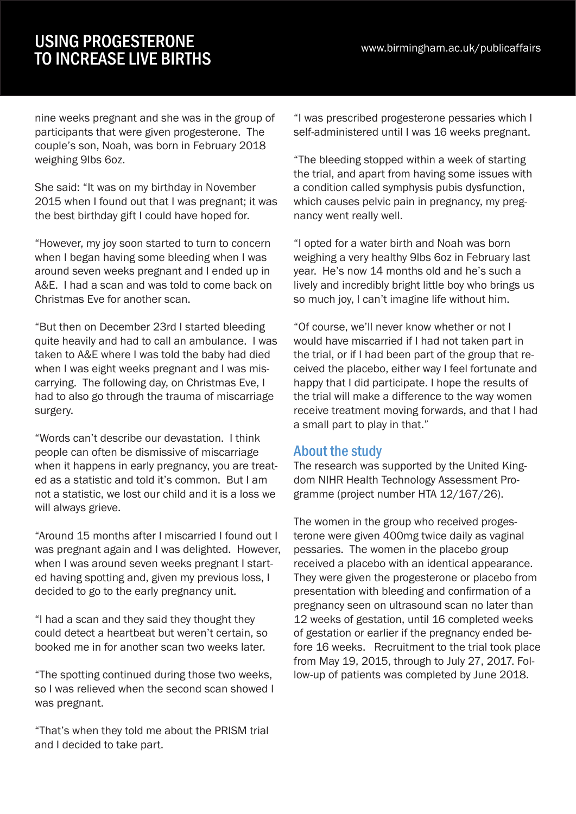### USING PROGESTERONE USING PROGLSTERUNE<br>TO INCREASE LIVE BIRTHS

nine weeks pregnant and she was in the group of participants that were given progesterone. The couple's son, Noah, was born in February 2018 weighing 9lbs 6oz.

She said: "It was on my birthday in November 2015 when I found out that I was pregnant; it was the best birthday gift I could have hoped for.

"However, my joy soon started to turn to concern when I began having some bleeding when I was around seven weeks pregnant and I ended up in A&E. I had a scan and was told to come back on Christmas Eve for another scan.

"But then on December 23rd I started bleeding quite heavily and had to call an ambulance. I was taken to A&E where I was told the baby had died when I was eight weeks pregnant and I was miscarrying. The following day, on Christmas Eve, I had to also go through the trauma of miscarriage surgery.

"Words can't describe our devastation. I think people can often be dismissive of miscarriage when it happens in early pregnancy, you are treated as a statistic and told it's common. But I am not a statistic, we lost our child and it is a loss we will always grieve.

"Around 15 months after I miscarried I found out I was pregnant again and I was delighted. However, when I was around seven weeks pregnant I started having spotting and, given my previous loss, I decided to go to the early pregnancy unit.

"I had a scan and they said they thought they could detect a heartbeat but weren't certain, so booked me in for another scan two weeks later.

"The spotting continued during those two weeks, so I was relieved when the second scan showed I was pregnant.

"That's when they told me about the PRISM trial and I decided to take part.

"I was prescribed progesterone pessaries which I self-administered until I was 16 weeks pregnant.

"The bleeding stopped within a week of starting the trial, and apart from having some issues with a condition called symphysis pubis dysfunction, which causes pelvic pain in pregnancy, my pregnancy went really well.

"I opted for a water birth and Noah was born weighing a very healthy 9lbs 6oz in February last year. He's now 14 months old and he's such a lively and incredibly bright little boy who brings us so much joy, I can't imagine life without him.

"Of course, we'll never know whether or not I would have miscarried if I had not taken part in the trial, or if I had been part of the group that received the placebo, either way I feel fortunate and happy that I did participate. I hope the results of the trial will make a difference to the way women receive treatment moving forwards, and that I had a small part to play in that."

#### About the study

The research was supported by the United Kingdom NIHR Health Technology Assessment Programme (project number HTA 12/167/26).

The women in the group who received progesterone were given 400mg twice daily as vaginal pessaries. The women in the placebo group received a placebo with an identical appearance. They were given the progesterone or placebo from presentation with bleeding and confirmation of a pregnancy seen on ultrasound scan no later than 12 weeks of gestation, until 16 completed weeks of gestation or earlier if the pregnancy ended before 16 weeks. Recruitment to the trial took place from May 19, 2015, through to July 27, 2017. Follow-up of patients was completed by June 2018.